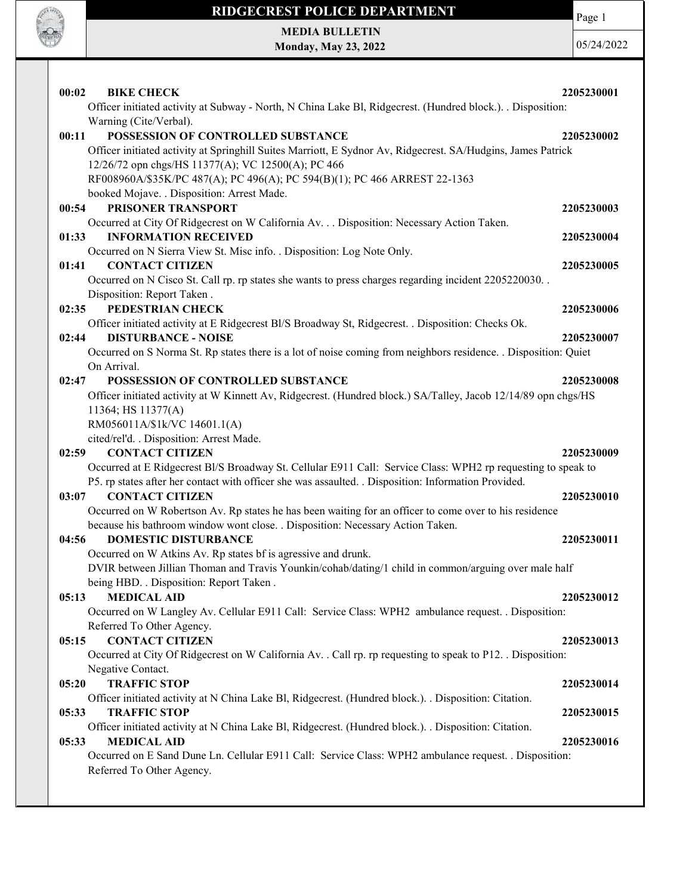

Page 1

MEDIA BULLETIN Monday, May 23, 2022

| 00:02<br><b>BIKE CHECK</b>                                                                                                                                                               | 2205230001 |
|------------------------------------------------------------------------------------------------------------------------------------------------------------------------------------------|------------|
| Officer initiated activity at Subway - North, N China Lake Bl, Ridgecrest. (Hundred block.). . Disposition:                                                                              |            |
| Warning (Cite/Verbal).<br>POSSESSION OF CONTROLLED SUBSTANCE                                                                                                                             |            |
| 00:11<br>Officer initiated activity at Springhill Suites Marriott, E Sydnor Av, Ridgecrest. SA/Hudgins, James Patrick                                                                    | 2205230002 |
| 12/26/72 opn chgs/HS 11377(A); VC 12500(A); PC 466                                                                                                                                       |            |
| RF008960A/\$35K/PC 487(A); PC 496(A); PC 594(B)(1); PC 466 ARREST 22-1363                                                                                                                |            |
| booked Mojave. . Disposition: Arrest Made.                                                                                                                                               |            |
| PRISONER TRANSPORT<br>00:54                                                                                                                                                              | 2205230003 |
| Occurred at City Of Ridgecrest on W California Av. Disposition: Necessary Action Taken.                                                                                                  |            |
| 01:33<br><b>INFORMATION RECEIVED</b>                                                                                                                                                     | 2205230004 |
| Occurred on N Sierra View St. Misc info. . Disposition: Log Note Only.                                                                                                                   |            |
| <b>CONTACT CITIZEN</b><br>01:41                                                                                                                                                          | 2205230005 |
| Occurred on N Cisco St. Call rp. rp states she wants to press charges regarding incident 2205220030.                                                                                     |            |
| Disposition: Report Taken.                                                                                                                                                               |            |
| PEDESTRIAN CHECK<br>02:35                                                                                                                                                                | 2205230006 |
| Officer initiated activity at E Ridgecrest Bl/S Broadway St, Ridgecrest. . Disposition: Checks Ok.<br>02:44<br><b>DISTURBANCE - NOISE</b>                                                | 2205230007 |
| Occurred on S Norma St. Rp states there is a lot of noise coming from neighbors residence. . Disposition: Quiet                                                                          |            |
| On Arrival.                                                                                                                                                                              |            |
| POSSESSION OF CONTROLLED SUBSTANCE<br>02:47                                                                                                                                              | 2205230008 |
| Officer initiated activity at W Kinnett Av, Ridgecrest. (Hundred block.) SA/Talley, Jacob 12/14/89 opn chgs/HS                                                                           |            |
| 11364; HS 11377(A)                                                                                                                                                                       |            |
| RM056011A/\$1k/VC 14601.1(A)                                                                                                                                                             |            |
| cited/rel'd. . Disposition: Arrest Made.                                                                                                                                                 |            |
| <b>CONTACT CITIZEN</b><br>02:59                                                                                                                                                          | 2205230009 |
| Occurred at E Ridgecrest Bl/S Broadway St. Cellular E911 Call: Service Class: WPH2 rp requesting to speak to                                                                             |            |
| P5. rp states after her contact with officer she was assaulted. . Disposition: Information Provided.                                                                                     |            |
| <b>CONTACT CITIZEN</b><br>03:07                                                                                                                                                          | 2205230010 |
| Occurred on W Robertson Av. Rp states he has been waiting for an officer to come over to his residence<br>because his bathroom window wont close. . Disposition: Necessary Action Taken. |            |
| 04:56<br><b>DOMESTIC DISTURBANCE</b>                                                                                                                                                     | 2205230011 |
| Occurred on W Atkins Av. Rp states bf is agressive and drunk.                                                                                                                            |            |
| DVIR between Jillian Thoman and Travis Younkin/cohab/dating/1 child in common/arguing over male half                                                                                     |            |
| being HBD. . Disposition: Report Taken.                                                                                                                                                  |            |
| <b>MEDICAL AID</b><br>05:13                                                                                                                                                              | 2205230012 |
| Occurred on W Langley Av. Cellular E911 Call: Service Class: WPH2 ambulance request. . Disposition:                                                                                      |            |
| Referred To Other Agency.                                                                                                                                                                |            |
| <b>CONTACT CITIZEN</b><br>05:15                                                                                                                                                          | 2205230013 |
| Occurred at City Of Ridgecrest on W California Av. . Call rp. rp requesting to speak to P12. . Disposition:                                                                              |            |
| Negative Contact.                                                                                                                                                                        |            |
| <b>TRAFFIC STOP</b><br>05:20                                                                                                                                                             | 2205230014 |
| Officer initiated activity at N China Lake Bl, Ridgecrest. (Hundred block.). . Disposition: Citation.<br><b>TRAFFIC STOP</b>                                                             |            |
| 05:33<br>Officer initiated activity at N China Lake Bl, Ridgecrest. (Hundred block.). Disposition: Citation.                                                                             | 2205230015 |
| <b>MEDICAL AID</b><br>05:33                                                                                                                                                              | 2205230016 |
| Occurred on E Sand Dune Ln. Cellular E911 Call: Service Class: WPH2 ambulance request. . Disposition:                                                                                    |            |
| Referred To Other Agency.                                                                                                                                                                |            |
|                                                                                                                                                                                          |            |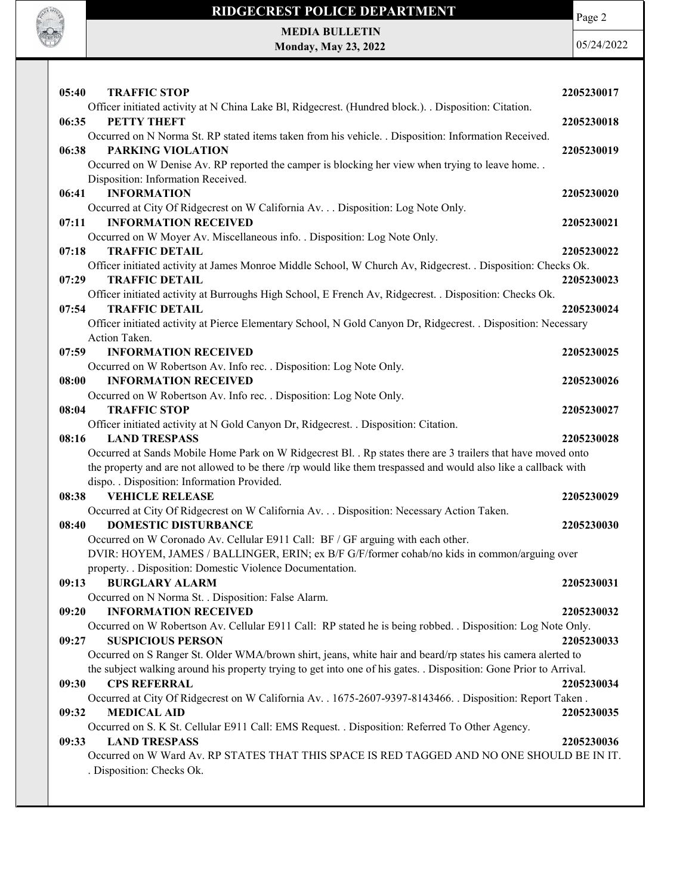

MEDIA BULLETIN Monday, May 23, 2022

**CALL OF OFFICER** 

| 05:40<br><b>TRAFFIC STOP</b>                                                                                                                              | 2205230017 |
|-----------------------------------------------------------------------------------------------------------------------------------------------------------|------------|
| Officer initiated activity at N China Lake Bl, Ridgecrest. (Hundred block.). Disposition: Citation.                                                       |            |
| 06:35<br><b>PETTY THEFT</b>                                                                                                                               | 2205230018 |
| Occurred on N Norma St. RP stated items taken from his vehicle. . Disposition: Information Received.                                                      |            |
| <b>PARKING VIOLATION</b><br>06:38                                                                                                                         | 2205230019 |
| Occurred on W Denise Av. RP reported the camper is blocking her view when trying to leave home<br>Disposition: Information Received.                      |            |
| 06:41<br><b>INFORMATION</b>                                                                                                                               | 2205230020 |
| Occurred at City Of Ridgecrest on W California Av. Disposition: Log Note Only.                                                                            |            |
| <b>INFORMATION RECEIVED</b><br>07:11                                                                                                                      | 2205230021 |
| Occurred on W Moyer Av. Miscellaneous info. . Disposition: Log Note Only.                                                                                 |            |
| 07:18<br><b>TRAFFIC DETAIL</b>                                                                                                                            | 2205230022 |
| Officer initiated activity at James Monroe Middle School, W Church Av, Ridgecrest. . Disposition: Checks Ok.                                              |            |
| 07:29<br><b>TRAFFIC DETAIL</b>                                                                                                                            | 2205230023 |
| Officer initiated activity at Burroughs High School, E French Av, Ridgecrest. . Disposition: Checks Ok.                                                   |            |
| <b>TRAFFIC DETAIL</b><br>07:54                                                                                                                            | 2205230024 |
| Officer initiated activity at Pierce Elementary School, N Gold Canyon Dr, Ridgecrest. . Disposition: Necessary                                            |            |
| Action Taken.<br><b>INFORMATION RECEIVED</b>                                                                                                              |            |
| 07:59<br>Occurred on W Robertson Av. Info rec. . Disposition: Log Note Only.                                                                              | 2205230025 |
| <b>INFORMATION RECEIVED</b><br>08:00                                                                                                                      | 2205230026 |
| Occurred on W Robertson Av. Info rec. . Disposition: Log Note Only.                                                                                       |            |
| 08:04<br><b>TRAFFIC STOP</b>                                                                                                                              | 2205230027 |
| Officer initiated activity at N Gold Canyon Dr, Ridgecrest. . Disposition: Citation.                                                                      |            |
| <b>LAND TRESPASS</b><br>08:16                                                                                                                             | 2205230028 |
| Occurred at Sands Mobile Home Park on W Ridgecrest Bl. . Rp states there are 3 trailers that have moved onto                                              |            |
| the property and are not allowed to be there /rp would like them trespassed and would also like a callback with                                           |            |
| dispo. . Disposition: Information Provided.                                                                                                               |            |
| <b>VEHICLE RELEASE</b><br>08:38                                                                                                                           | 2205230029 |
| Occurred at City Of Ridgecrest on W California Av. Disposition: Necessary Action Taken.                                                                   |            |
| <b>DOMESTIC DISTURBANCE</b><br>08:40                                                                                                                      | 2205230030 |
| Occurred on W Coronado Av. Cellular E911 Call: BF / GF arguing with each other.                                                                           |            |
| DVIR: HOYEM, JAMES / BALLINGER, ERIN; ex B/F G/F/former cohab/no kids in common/arguing over<br>property. . Disposition: Domestic Violence Documentation. |            |
| 09:13<br><b>BURGLARY ALARM</b>                                                                                                                            | 2205230031 |
| Occurred on N Norma St. . Disposition: False Alarm.                                                                                                       |            |
| <b>INFORMATION RECEIVED</b><br>09:20                                                                                                                      | 2205230032 |
| Occurred on W Robertson Av. Cellular E911 Call: RP stated he is being robbed. . Disposition: Log Note Only.                                               |            |
| <b>SUSPICIOUS PERSON</b><br>09:27                                                                                                                         | 2205230033 |
| Occurred on S Ranger St. Older WMA/brown shirt, jeans, white hair and beard/rp states his camera alerted to                                               |            |
| the subject walking around his property trying to get into one of his gates. . Disposition: Gone Prior to Arrival.                                        |            |
| <b>CPS REFERRAL</b><br>09:30                                                                                                                              | 2205230034 |
| Occurred at City Of Ridgecrest on W California Av. . 1675-2607-9397-8143466. . Disposition: Report Taken.                                                 |            |
| <b>MEDICAL AID</b><br>09:32                                                                                                                               | 2205230035 |
| Occurred on S. K St. Cellular E911 Call: EMS Request. . Disposition: Referred To Other Agency.                                                            |            |
| <b>LAND TRESPASS</b><br>09:33                                                                                                                             | 2205230036 |
| Occurred on W Ward Av. RP STATES THAT THIS SPACE IS RED TAGGED AND NO ONE SHOULD BE IN IT.<br>. Disposition: Checks Ok.                                   |            |
|                                                                                                                                                           |            |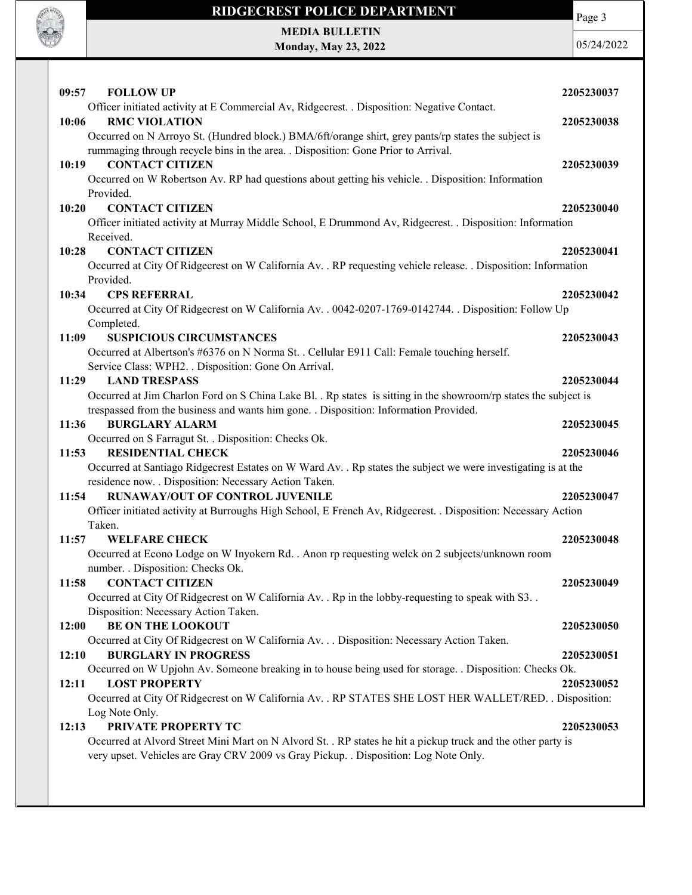

MEDIA BULLETIN Monday, May 23, 2022 Page 3

| 09:57<br><b>FOLLOW UP</b>                                                                                                                       | 2205230037 |
|-------------------------------------------------------------------------------------------------------------------------------------------------|------------|
| Officer initiated activity at E Commercial Av, Ridgecrest. . Disposition: Negative Contact.                                                     |            |
| 10:06<br><b>RMC VIOLATION</b>                                                                                                                   | 2205230038 |
| Occurred on N Arroyo St. (Hundred block.) BMA/6ft/orange shirt, grey pants/rp states the subject is                                             |            |
| rummaging through recycle bins in the area. . Disposition: Gone Prior to Arrival.                                                               |            |
| <b>CONTACT CITIZEN</b><br>10:19                                                                                                                 | 2205230039 |
| Occurred on W Robertson Av. RP had questions about getting his vehicle. . Disposition: Information                                              |            |
| Provided.                                                                                                                                       |            |
| 10:20<br><b>CONTACT CITIZEN</b>                                                                                                                 | 2205230040 |
| Officer initiated activity at Murray Middle School, E Drummond Av, Ridgecrest. . Disposition: Information                                       |            |
| Received.                                                                                                                                       |            |
| <b>CONTACT CITIZEN</b><br>10:28                                                                                                                 | 2205230041 |
| Occurred at City Of Ridgecrest on W California Av. . RP requesting vehicle release. . Disposition: Information                                  |            |
| Provided.                                                                                                                                       |            |
| 10:34<br><b>CPS REFERRAL</b>                                                                                                                    | 2205230042 |
| Occurred at City Of Ridgecrest on W California Av. . 0042-0207-1769-0142744. . Disposition: Follow Up                                           |            |
| Completed.<br>11:09<br><b>SUSPICIOUS CIRCUMSTANCES</b>                                                                                          | 2205230043 |
| Occurred at Albertson's #6376 on N Norma St. . Cellular E911 Call: Female touching herself.                                                     |            |
| Service Class: WPH2. . Disposition: Gone On Arrival.                                                                                            |            |
| <b>LAND TRESPASS</b><br>11:29                                                                                                                   | 2205230044 |
| Occurred at Jim Charlon Ford on S China Lake Bl. . Rp states is sitting in the showroom/rp states the subject is                                |            |
| trespassed from the business and wants him gone. . Disposition: Information Provided.                                                           |            |
| <b>BURGLARY ALARM</b><br>11:36                                                                                                                  | 2205230045 |
| Occurred on S Farragut St. . Disposition: Checks Ok.                                                                                            |            |
| 11:53<br><b>RESIDENTIAL CHECK</b>                                                                                                               | 2205230046 |
| Occurred at Santiago Ridgecrest Estates on W Ward Av. . Rp states the subject we were investigating is at the                                   |            |
| residence now. . Disposition: Necessary Action Taken.                                                                                           |            |
| <b>RUNAWAY/OUT OF CONTROL JUVENILE</b><br>11:54                                                                                                 | 2205230047 |
| Officer initiated activity at Burroughs High School, E French Av, Ridgecrest. . Disposition: Necessary Action                                   |            |
| Taken.                                                                                                                                          |            |
| 11:57<br><b>WELFARE CHECK</b>                                                                                                                   | 2205230048 |
| Occurred at Econo Lodge on W Inyokern Rd. . Anon rp requesting welck on 2 subjects/unknown room                                                 |            |
| number. . Disposition: Checks Ok.                                                                                                               |            |
| <b>CONTACT CITIZEN</b><br>11:58                                                                                                                 | 2205230049 |
| Occurred at City Of Ridgecrest on W California Av. . Rp in the lobby-requesting to speak with S3                                                |            |
| Disposition: Necessary Action Taken.                                                                                                            |            |
| <b>BE ON THE LOOKOUT</b><br>12:00                                                                                                               | 2205230050 |
| Occurred at City Of Ridgecrest on W California Av. Disposition: Necessary Action Taken.                                                         |            |
| 12:10<br><b>BURGLARY IN PROGRESS</b><br>Occurred on W Upjohn Av. Someone breaking in to house being used for storage. . Disposition: Checks Ok. | 2205230051 |
| <b>LOST PROPERTY</b><br>12:11                                                                                                                   | 2205230052 |
| Occurred at City Of Ridgecrest on W California Av. . RP STATES SHE LOST HER WALLET/RED. . Disposition:                                          |            |
| Log Note Only.                                                                                                                                  |            |
| PRIVATE PROPERTY TC<br>12:13                                                                                                                    | 2205230053 |
| Occurred at Alvord Street Mini Mart on N Alvord St. . RP states he hit a pickup truck and the other party is                                    |            |
| very upset. Vehicles are Gray CRV 2009 vs Gray Pickup. . Disposition: Log Note Only.                                                            |            |
|                                                                                                                                                 |            |
|                                                                                                                                                 |            |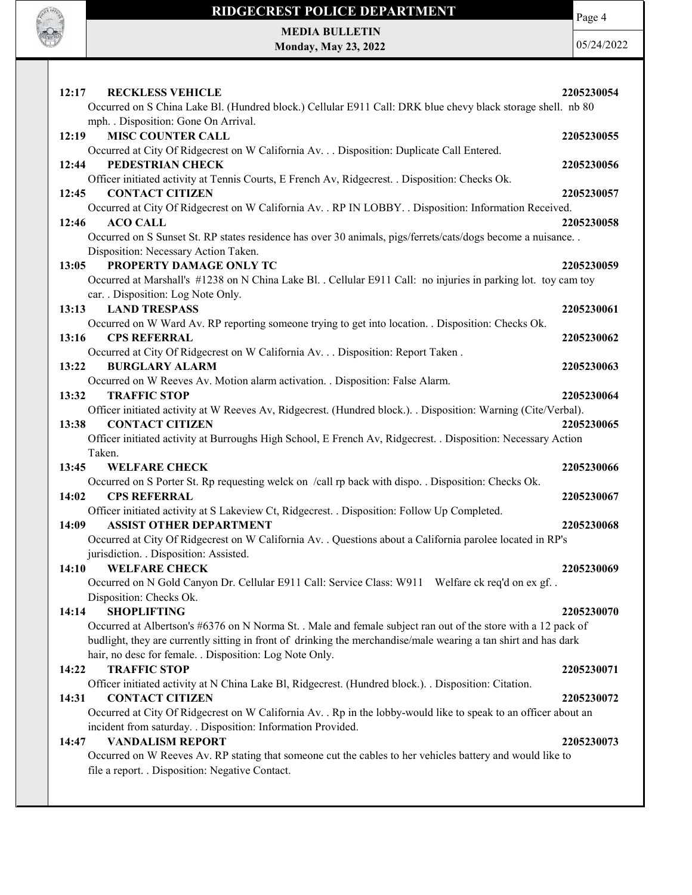

Page 4

MEDIA BULLETIN Monday, May 23, 2022

| <b>RECKLESS VEHICLE</b><br>12:17                                                                                                   | 2205230054 |
|------------------------------------------------------------------------------------------------------------------------------------|------------|
| Occurred on S China Lake Bl. (Hundred block.) Cellular E911 Call: DRK blue chevy black storage shell. nb 80                        |            |
| mph. . Disposition: Gone On Arrival.                                                                                               |            |
| <b>MISC COUNTER CALL</b><br>12:19                                                                                                  | 2205230055 |
| Occurred at City Of Ridgecrest on W California Av. Disposition: Duplicate Call Entered.                                            |            |
| 12:44<br>PEDESTRIAN CHECK                                                                                                          | 2205230056 |
| Officer initiated activity at Tennis Courts, E French Av, Ridgecrest. . Disposition: Checks Ok.                                    |            |
| <b>CONTACT CITIZEN</b><br>12:45                                                                                                    | 2205230057 |
| Occurred at City Of Ridgecrest on W California Av. . RP IN LOBBY. . Disposition: Information Received.<br><b>ACO CALL</b><br>12:46 | 2205230058 |
| Occurred on S Sunset St. RP states residence has over 30 animals, pigs/ferrets/cats/dogs become a nuisance                         |            |
| Disposition: Necessary Action Taken.                                                                                               |            |
| PROPERTY DAMAGE ONLY TC<br>13:05                                                                                                   | 2205230059 |
| Occurred at Marshall's #1238 on N China Lake Bl. . Cellular E911 Call: no injuries in parking lot. toy cam toy                     |            |
| car. . Disposition: Log Note Only.                                                                                                 |            |
| 13:13<br><b>LAND TRESPASS</b>                                                                                                      | 2205230061 |
| Occurred on W Ward Av. RP reporting someone trying to get into location. . Disposition: Checks Ok.                                 |            |
| 13:16<br><b>CPS REFERRAL</b>                                                                                                       | 2205230062 |
| Occurred at City Of Ridgecrest on W California Av. Disposition: Report Taken .                                                     |            |
| 13:22<br><b>BURGLARY ALARM</b>                                                                                                     | 2205230063 |
| Occurred on W Reeves Av. Motion alarm activation. . Disposition: False Alarm.                                                      |            |
| 13:32<br><b>TRAFFIC STOP</b>                                                                                                       | 2205230064 |
| Officer initiated activity at W Reeves Av, Ridgecrest. (Hundred block.). . Disposition: Warning (Cite/Verbal).                     |            |
| <b>CONTACT CITIZEN</b><br>13:38                                                                                                    | 2205230065 |
| Officer initiated activity at Burroughs High School, E French Av, Ridgecrest. . Disposition: Necessary Action                      |            |
| Taken.                                                                                                                             |            |
| <b>WELFARE CHECK</b><br>13:45                                                                                                      | 2205230066 |
| Occurred on S Porter St. Rp requesting welck on /call rp back with dispo. . Disposition: Checks Ok.                                |            |
| <b>CPS REFERRAL</b><br>14:02                                                                                                       | 2205230067 |
| Officer initiated activity at S Lakeview Ct, Ridgecrest. . Disposition: Follow Up Completed.                                       |            |
|                                                                                                                                    |            |
| <b>ASSIST OTHER DEPARTMENT</b><br>14:09                                                                                            | 2205230068 |
| Occurred at City Of Ridgecrest on W California Av. . Questions about a California parolee located in RP's                          |            |
| jurisdiction. . Disposition: Assisted.                                                                                             |            |
| 14:10<br><b>WELFARE CHECK</b>                                                                                                      | 2205230069 |
| Occurred on N Gold Canyon Dr. Cellular E911 Call: Service Class: W911 Welfare ck req'd on ex gf                                    |            |
| Disposition: Checks Ok.                                                                                                            |            |
| <b>SHOPLIFTING</b><br>14:14                                                                                                        | 2205230070 |
| Occurred at Albertson's #6376 on N Norma St. . Male and female subject ran out of the store with a 12 pack of                      |            |
| budlight, they are currently sitting in front of drinking the merchandise/male wearing a tan shirt and has dark                    |            |
| hair, no desc for female. . Disposition: Log Note Only.                                                                            |            |
| <b>TRAFFIC STOP</b><br>14:22                                                                                                       | 2205230071 |
| Officer initiated activity at N China Lake Bl, Ridgecrest. (Hundred block.). Disposition: Citation.                                |            |
| 14:31<br><b>CONTACT CITIZEN</b>                                                                                                    | 2205230072 |
| Occurred at City Of Ridgecrest on W California Av. . Rp in the lobby-would like to speak to an officer about an                    |            |
| incident from saturday. . Disposition: Information Provided.<br><b>VANDALISM REPORT</b><br>14:47                                   | 2205230073 |
| Occurred on W Reeves Av. RP stating that someone cut the cables to her vehicles battery and would like to                          |            |
| file a report. . Disposition: Negative Contact.                                                                                    |            |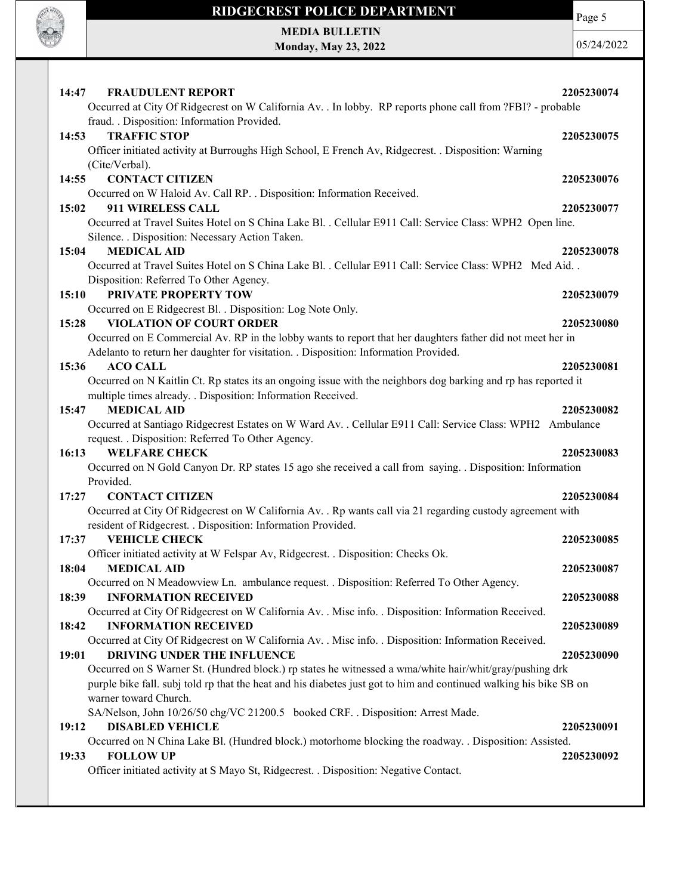

Page 5

MEDIA BULLETIN Monday, May 23, 2022

| <b>FRAUDULENT REPORT</b><br>14:47<br>Occurred at City Of Ridgecrest on W California Av. . In lobby. RP reports phone call from ?FBI? - probable | 2205230074 |
|-------------------------------------------------------------------------------------------------------------------------------------------------|------------|
| fraud. . Disposition: Information Provided.                                                                                                     |            |
| <b>TRAFFIC STOP</b><br>14:53                                                                                                                    | 2205230075 |
| Officer initiated activity at Burroughs High School, E French Av, Ridgecrest. . Disposition: Warning                                            |            |
| (Cite/Verbal).                                                                                                                                  |            |
| <b>CONTACT CITIZEN</b><br>14:55                                                                                                                 | 2205230076 |
| Occurred on W Haloid Av. Call RP. . Disposition: Information Received.                                                                          |            |
| 911 WIRELESS CALL<br>15:02                                                                                                                      | 2205230077 |
| Occurred at Travel Suites Hotel on S China Lake Bl. . Cellular E911 Call: Service Class: WPH2 Open line.                                        |            |
| Silence. . Disposition: Necessary Action Taken.                                                                                                 |            |
| <b>MEDICAL AID</b><br>15:04                                                                                                                     | 2205230078 |
| Occurred at Travel Suites Hotel on S China Lake Bl. . Cellular E911 Call: Service Class: WPH2 Med Aid. .                                        |            |
| Disposition: Referred To Other Agency.                                                                                                          |            |
| PRIVATE PROPERTY TOW<br>15:10                                                                                                                   | 2205230079 |
| Occurred on E Ridgecrest Bl. . Disposition: Log Note Only.                                                                                      |            |
| <b>VIOLATION OF COURT ORDER</b><br>15:28                                                                                                        | 2205230080 |
| Occurred on E Commercial Av. RP in the lobby wants to report that her daughters father did not meet her in                                      |            |
| Adelanto to return her daughter for visitation. . Disposition: Information Provided.                                                            |            |
| 15:36<br><b>ACO CALL</b>                                                                                                                        | 2205230081 |
| Occurred on N Kaitlin Ct. Rp states its an ongoing issue with the neighbors dog barking and rp has reported it                                  |            |
| multiple times already. . Disposition: Information Received.<br><b>MEDICAL AID</b><br>15:47                                                     | 2205230082 |
| Occurred at Santiago Ridgecrest Estates on W Ward Av. . Cellular E911 Call: Service Class: WPH2 Ambulance                                       |            |
| request. . Disposition: Referred To Other Agency.                                                                                               |            |
| <b>WELFARE CHECK</b><br>16:13                                                                                                                   |            |
|                                                                                                                                                 |            |
|                                                                                                                                                 | 2205230083 |
| Occurred on N Gold Canyon Dr. RP states 15 ago she received a call from saying. . Disposition: Information                                      |            |
| Provided.                                                                                                                                       |            |
| 17:27<br><b>CONTACT CITIZEN</b>                                                                                                                 | 2205230084 |
| Occurred at City Of Ridgecrest on W California Av. . Rp wants call via 21 regarding custody agreement with                                      |            |
| resident of Ridgecrest. . Disposition: Information Provided.<br><b>VEHICLE CHECK</b><br>17:37                                                   | 2205230085 |
| Officer initiated activity at W Felspar Av, Ridgecrest. . Disposition: Checks Ok.                                                               |            |
| <b>MEDICAL AID</b><br>18:04                                                                                                                     | 2205230087 |
| Occurred on N Meadowview Ln. ambulance request. . Disposition: Referred To Other Agency.                                                        |            |
| <b>INFORMATION RECEIVED</b><br>18:39                                                                                                            | 2205230088 |
| Occurred at City Of Ridgecrest on W California Av. . Misc info. . Disposition: Information Received.                                            |            |
| <b>INFORMATION RECEIVED</b><br>18:42                                                                                                            | 2205230089 |
| Occurred at City Of Ridgecrest on W California Av. . Misc info. . Disposition: Information Received.                                            |            |
| DRIVING UNDER THE INFLUENCE<br>19:01                                                                                                            | 2205230090 |
| Occurred on S Warner St. (Hundred block.) rp states he witnessed a wma/white hair/whit/gray/pushing drk                                         |            |
| purple bike fall. subj told rp that the heat and his diabetes just got to him and continued walking his bike SB on                              |            |
| warner toward Church.                                                                                                                           |            |
| SA/Nelson, John 10/26/50 chg/VC 21200.5 booked CRF. . Disposition: Arrest Made.                                                                 |            |
| <b>DISABLED VEHICLE</b><br>19:12                                                                                                                | 2205230091 |
| Occurred on N China Lake Bl. (Hundred block.) motorhome blocking the roadway. . Disposition: Assisted.                                          |            |
| <b>FOLLOW UP</b><br>19:33<br>Officer initiated activity at S Mayo St, Ridgecrest. . Disposition: Negative Contact.                              | 2205230092 |